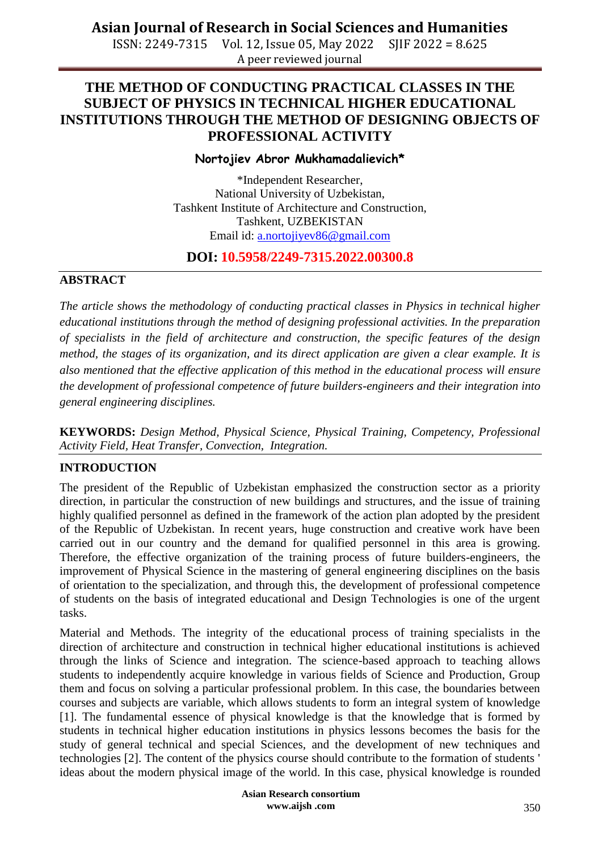ISSN: 2249-7315 Vol. 12, Issue 05, May 2022 SJIF 2022 = 8.625 A peer reviewed journal

# **THE METHOD OF CONDUCTING PRACTICAL CLASSES IN THE SUBJECT OF PHYSICS IN TECHNICAL HIGHER EDUCATIONAL INSTITUTIONS THROUGH THE METHOD OF DESIGNING OBJECTS OF PROFESSIONAL ACTIVITY**

### **Nortojiev Abror Mukhamadalievich\***

\*Independent Researcher, National University of Uzbekistan, Tashkent Institute of Architecture and Construction, Tashkent, UZBEKISTAN Email id: [a.nortojiyev86@gmail.com](mailto:a.nortojiyev86@gmail.com)

## **DOI: 10.5958/2249-7315.2022.00300.8**

### **ABSTRACT**

*The article shows the methodology of conducting practical classes in Physics in technical higher educational institutions through the method of designing professional activities. In the preparation of specialists in the field of architecture and construction, the specific features of the design method, the stages of its organization, and its direct application are given a clear example. It is also mentioned that the effective application of this method in the educational process will ensure the development of professional competence of future builders-engineers and their integration into general engineering disciplines.*

**KEYWORDS:** *Design Method, Physical Science, Physical Training, Competency, Professional Activity Field, Heat Transfer, Convection, Integration.*

## **INTRODUCTION**

The president of the Republic of Uzbekistan emphasized the construction sector as a priority direction, in particular the construction of new buildings and structures, and the issue of training highly qualified personnel as defined in the framework of the action plan adopted by the president of the Republic of Uzbekistan. In recent years, huge construction and creative work have been carried out in our country and the demand for qualified personnel in this area is growing. Therefore, the effective organization of the training process of future builders-engineers, the improvement of Physical Science in the mastering of general engineering disciplines on the basis of orientation to the specialization, and through this, the development of professional competence of students on the basis of integrated educational and Design Technologies is one of the urgent tasks.

Material and Methods. The integrity of the educational process of training specialists in the direction of architecture and construction in technical higher educational institutions is achieved through the links of Science and integration. The science-based approach to teaching allows students to independently acquire knowledge in various fields of Science and Production, Group them and focus on solving a particular professional problem. In this case, the boundaries between courses and subjects are variable, which allows students to form an integral system of knowledge [1]. The fundamental essence of physical knowledge is that the knowledge that is formed by students in technical higher education institutions in physics lessons becomes the basis for the study of general technical and special Sciences, and the development of new techniques and technologies [2]. The content of the physics course should contribute to the formation of students ' ideas about the modern physical image of the world. In this case, physical knowledge is rounded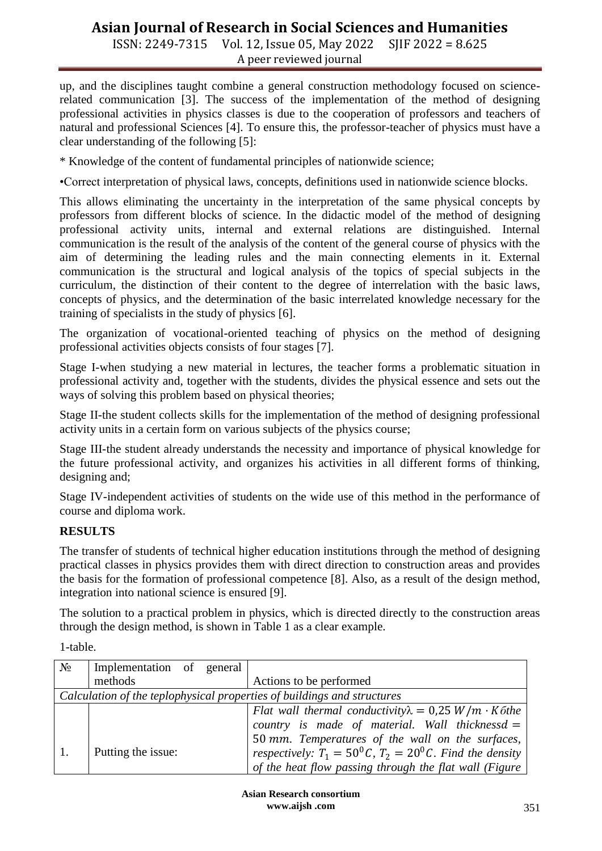ISSN: 2249-7315 Vol. 12, Issue 05, May 2022 SJIF 2022 = 8.625 A peer reviewed journal

up, and the disciplines taught combine a general construction methodology focused on sciencerelated communication [3]. The success of the implementation of the method of designing professional activities in physics classes is due to the cooperation of professors and teachers of natural and professional Sciences [4]. To ensure this, the professor-teacher of physics must have a clear understanding of the following [5]:

\* Knowledge of the content of fundamental principles of nationwide science;

•Correct interpretation of physical laws, concepts, definitions used in nationwide science blocks.

This allows eliminating the uncertainty in the interpretation of the same physical concepts by professors from different blocks of science. In the didactic model of the method of designing professional activity units, internal and external relations are distinguished. Internal communication is the result of the analysis of the content of the general course of physics with the aim of determining the leading rules and the main connecting elements in it. External communication is the structural and logical analysis of the topics of special subjects in the curriculum, the distinction of their content to the degree of interrelation with the basic laws, concepts of physics, and the determination of the basic interrelated knowledge necessary for the training of specialists in the study of physics [6].

The organization of vocational-oriented teaching of physics on the method of designing professional activities objects consists of four stages [7].

Stage I-when studying a new material in lectures, the teacher forms a problematic situation in professional activity and, together with the students, divides the physical essence and sets out the ways of solving this problem based on physical theories;

Stage II-the student collects skills for the implementation of the method of designing professional activity units in a certain form on various subjects of the physics course;

Stage III-the student already understands the necessity and importance of physical knowledge for the future professional activity, and organizes his activities in all different forms of thinking, designing and;

Stage IV-independent activities of students on the wide use of this method in the performance of course and diploma work.

## **RESULTS**

The transfer of students of technical higher education institutions through the method of designing practical classes in physics provides them with direct direction to construction areas and provides the basis for the formation of professional competence [8]. Also, as a result of the design method, integration into national science is ensured [9].

The solution to a practical problem in physics, which is directed directly to the construction areas through the design method, is shown in Table 1 as a clear example.

1-table.

| $N_2$                                                                   | Implementation of general |  |  |                                                                  |  |
|-------------------------------------------------------------------------|---------------------------|--|--|------------------------------------------------------------------|--|
|                                                                         | methods                   |  |  | Actions to be performed                                          |  |
| Calculation of the teplophysical properties of buildings and structures |                           |  |  |                                                                  |  |
|                                                                         |                           |  |  | Flat wall thermal conductivity $\lambda = 0.25 W/m \cdot K$ othe |  |
|                                                                         |                           |  |  | country is made of material. Wall thicknessd $=$                 |  |
|                                                                         |                           |  |  | 50 mm. Temperatures of the wall on the surfaces,                 |  |
|                                                                         | Putting the issue:        |  |  | respectively: $T_1 = 50^0 C$ , $T_2 = 20^0 C$ . Find the density |  |
|                                                                         |                           |  |  | of the heat flow passing through the flat wall (Figure           |  |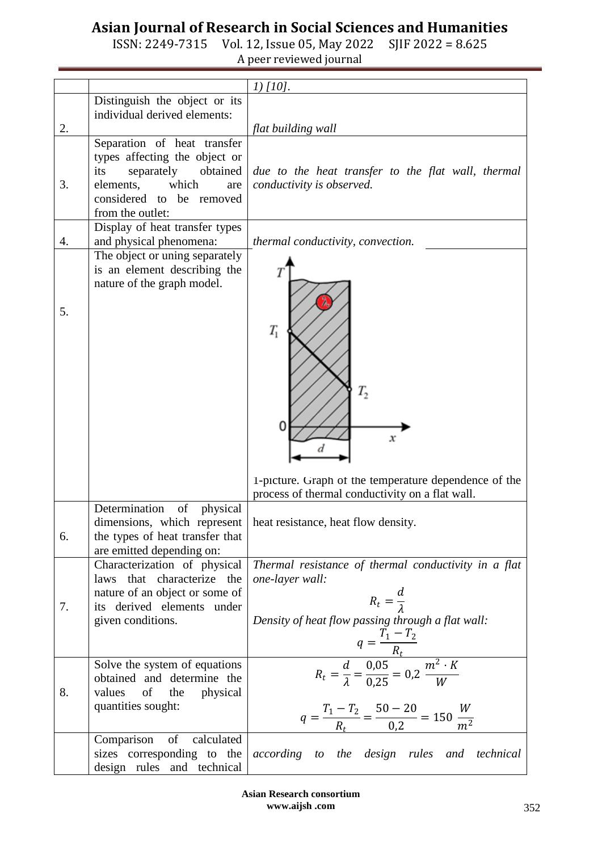ISSN: 2249-7315 Vol. 12, Issue 05, May 2022 SJIF 2022 = 8.625 A peer reviewed journal

|    |                                                                                                                                                                            | $1)$ [10].                                                                                                                                                                                                                                                      |
|----|----------------------------------------------------------------------------------------------------------------------------------------------------------------------------|-----------------------------------------------------------------------------------------------------------------------------------------------------------------------------------------------------------------------------------------------------------------|
|    | Distinguish the object or its<br>individual derived elements:                                                                                                              |                                                                                                                                                                                                                                                                 |
| 2. |                                                                                                                                                                            | flat building wall                                                                                                                                                                                                                                              |
| 3. | Separation of heat transfer<br>types affecting the object or<br>separately<br>obtained<br>its<br>which<br>elements,<br>are<br>considered to be removed<br>from the outlet: | due to the heat transfer to the flat wall, thermal<br>conductivity is observed.                                                                                                                                                                                 |
| 4. | Display of heat transfer types<br>and physical phenomena:                                                                                                                  | thermal conductivity, convection.                                                                                                                                                                                                                               |
| 5. | The object or uning separately<br>is an element describing the<br>nature of the graph model.                                                                               | $T_{1}$<br>Τ,<br>х<br>1-picture. Graph of the temperature dependence of the<br>process of thermal conductivity on a flat wall.                                                                                                                                  |
| 6. | Determination<br>of<br>physical<br>dimensions, which represent<br>the types of heat transfer that<br>are emitted depending on:                                             | heat resistance, heat flow density.                                                                                                                                                                                                                             |
| 7. | Characterization of physical<br>laws that characterize the<br>nature of an object or some of<br>its derived elements under<br>given conditions.                            | Thermal resistance of thermal conductivity in a flat<br>one-layer wall:<br>$R_t = \frac{d}{1}$<br>Density of heat flow passing through a flat wall:<br>$q = \frac{T_1 - T_2}{R_t}$<br>$R_t = \frac{d}{\lambda} = \frac{0.05}{0.25} = 0.2 \frac{m^2 \cdot K}{W}$ |
| 8. | Solve the system of equations<br>obtained and determine the<br>values<br>of<br>physical<br>the<br>quantities sought:                                                       | $q = \frac{T_1 - T_2}{R_t} = \frac{50 - 20}{0.2} = 150 \frac{W}{m^2}$                                                                                                                                                                                           |
|    | of<br>calculated<br>Comparison<br>sizes corresponding to the<br>design rules and technical                                                                                 | according to the design rules and<br>technical                                                                                                                                                                                                                  |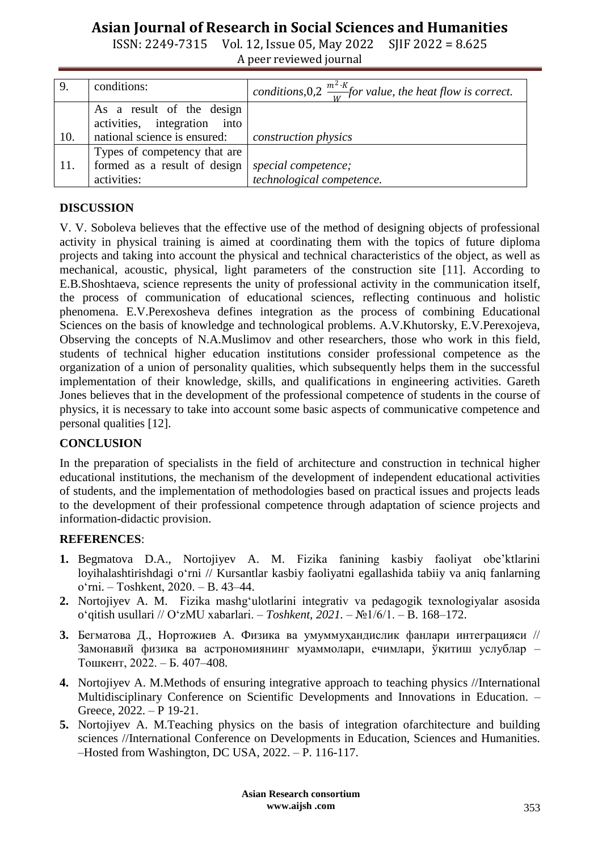ISSN: 2249-7315 Vol. 12, Issue 05, May 2022 SJIF 2022 = 8.625 A peer reviewed journal

| 9.  | conditions:                                                                                       | conditions, 0,2 $\frac{m^2 \cdot K}{w}$ for value, the heat flow is correct. |
|-----|---------------------------------------------------------------------------------------------------|------------------------------------------------------------------------------|
|     | As a result of the design<br>activities, integration into                                         |                                                                              |
| 10. | national science is ensured:                                                                      | construction physics                                                         |
| 11. | Types of competency that are<br>formed as a result of design   special competence;<br>activities: | technological competence.                                                    |

### **DISCUSSION**

V. V. Soboleva believes that the effective use of the method of designing objects of professional activity in physical training is aimed at coordinating them with the topics of future diploma projects and taking into account the physical and technical characteristics of the object, as well as mechanical, acoustic, physical, light parameters of the construction site [11]. According to E.B.Shoshtaeva, science represents the unity of professional activity in the communication itself, the process of communication of educational sciences, reflecting continuous and holistic phenomena. E.V.Perexosheva defines integration as the process of combining Educational Sciences on the basis of knowledge and technological problems. A.V.Khutorsky, E.V.Perexojeva, Observing the concepts of N.A.Muslimov and other researchers, those who work in this field, students of technical higher education institutions consider professional competence as the organization of a union of personality qualities, which subsequently helps them in the successful implementation of their knowledge, skills, and qualifications in engineering activities. Gareth Jones believes that in the development of the professional competence of students in the course of physics, it is necessary to take into account some basic aspects of communicative competence and personal qualities [12].

### **CONCLUSION**

In the preparation of specialists in the field of architecture and construction in technical higher educational institutions, the mechanism of the development of independent educational activities of students, and the implementation of methodologies based on practical issues and projects leads to the development of their professional competence through adaptation of science projects and information-didactic provision.

### **REFERENCES**:

- **1.** Begmatova D.A., Nortojiyev A. M. Fizika fanining kasbiy faoliyat obe'ktlarini loyihalashtirishdagi oʻrni // Kursantlar kasbiy faoliyatni egallashida tabiiy va aniq fanlarning o‗rni. – Тоshkent, 2020. – B. 43–44.
- 2. Nortojiyev A. M. Fizika mashgʻulotlarini integrativ va pedagogik texnologiyalar asosida o‗qitish usullari // OʻzMU xabarlari. – *Toshkent, 2021.* – №1/6/1. – B. 168–172.
- **3.** Бегматова Д., Нортожиев А. Физика ва умуммуҳандислик фанлари интеграцияси // Замонавий физика ва астрономиянинг муаммолари, ечимлари, ўқитиш услублар – Тошкент, 2022. – Б. 407–408.
- **4.** Nortojiyev A. M.Methods of ensuring integrative approach to teaching physics //International Multidisciplinary Conference on Scientific Developments and Innovations in Education. – Greece, 2022. – P 19-21.
- **5.** Nortojiyev A. M.Teaching physics on the basis of integration ofarchitecture and building sciences //International Conference on Developments in Education, Sciences and Humanities. –Hosted from Washington, DC USA, 2022. – P. 116-117.